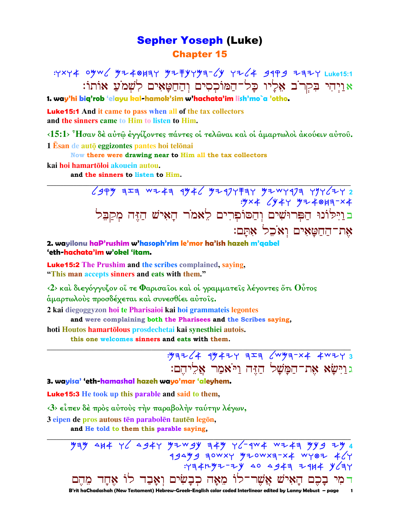### **Sepher Yoseph (Luke) Chapter 15**

: YXY4 0yw / YZ40H3Y YZ FYYY3- 1 YZ 4 9999 Z3ZY Luke15:1 אויהי בקרב אליו כל־המוכסים והחטאים לשמע אותו:

1. way'hi biq'rob 'elayu kal-hamok'sim w'hachata'im lish'mo`a 'otho.

**Luke 15:1** And it came to pass when all of the tax collectors and the sinners came to Him to listen to Him.

 $\langle 15:1 \rangle$  Ήσαν δέ αύτ $\hat{\omega}$  έγγίζοντες πάντες οι τελώναι και οι αμαρτωλοι ακούειν αύτου. 1 Esan de auto eggizontes pantes hoi telonai

Now there were drawing near to Him all the tax collectors

#### kai hoi hamartōloi akouein autou.

and the sinners to listen to Him.

 $.9x4$   $(9449 + 4847 - x4)$ בוַיִּלוֹנוּ הַפְּרוּשִׁים וְהַסוֹפִרִים לֵאמֹר הָאִישׁ הַזֶּה מִקַבֵּל את־החטאים ואכל אתם:

2. wayilonu haP'rushim w'hasoph'rim le'mor ha'ish hazeh m'gabel 'eth-hachata'im w'obel 'itam.

**Luke 15:2** The Prushim and the scribes complained, saying, "This man accepts sinners and eats with them."

 $\langle 2 \rangle$  καὶ διεγόγγυζον οἴ τε Φαρισαῖοι καὶ οἱ γραμματεῖς λέγοντες ὅτι Οὗτος άμαρτωλούς προσδέχεται καί συνεσθίει αύτοις.

2 kaj diegoggyzon hoj te Pharisajoj kaj hoj grammatejs legontes

and were complaining both the Pharisees and the Scribes saying,

hoti Houtos hamartolous prosdechetai kai synesthiei autois.

this one welcomes sinners and eats with them.

 $\frac{1}{2}$   $\frac{1}{4}$   $\frac{1}{4}$   $\frac{1}{4}$   $\frac{1}{4}$   $\frac{1}{4}$   $\frac{1}{4}$   $\frac{1}{4}$   $\frac{1}{4}$   $\frac{1}{4}$   $\frac{1}{4}$   $\frac{1}{4}$   $\frac{1}{4}$   $\frac{1}{4}$   $\frac{1}{4}$   $\frac{1}{4}$   $\frac{1}{4}$   $\frac{1}{4}$   $\frac{1}{4}$   $\frac{1}{4}$   $\frac{1}{4}$   $\frac{1}{4}$  ג וַיִּשָׂא אֶת־הַמָּשָׁל הַזֶּה וַיֹּאמַר אַלִיהֵם:

3. wayisa' 'eth-hamashal hazeh wayo'mar 'aleyhem.

**Luke 15:3** He took up this parable and said to them,

<3> είπεν δέ πρός αύτους την παραβολήν ταύτην λέγων,

3 eipen de pros autous tēn parabolēn tautēn legōn,

and He told to them this parable saying.

 $794$  414 7 4347 92 34 349 7 440 4 344 344 344  $43499$  zowxy growxz-x4 wyor  $464$  $Y=774777779$  40 4947 7414 464 דמִי בָכֵם הָאִישׁ אֲשֵׁר־לוֹ מֵאָה כִבָשִׂים וִאָּבַד לוֹ אָחָד מֵהֵם B'rit haChadashah (New Testament) Hebrew-Greek-English color coded Interlinear edited by Lanny Mebust – page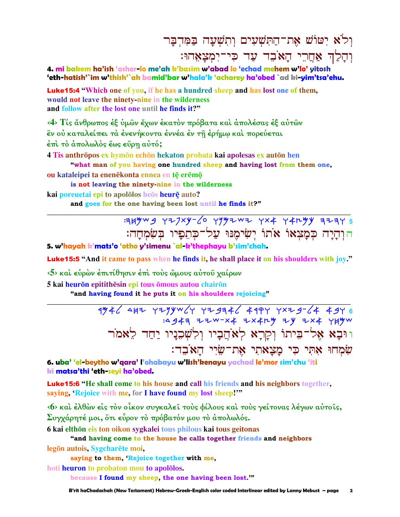## וְלֹא יִטוֹשׁ אֶת־הַתְּשִׁעִים וְתְשִׁעֲה בַּמְּדְבַּר וִהַלַּךְ אַחֲרֵי הַאֹּבֶד עַד כִּי־יִמְצָאֲהוּ:

4. mi bakem ha'ish 'asher-lo me'ah k'basim w'abad lo 'echad mehem w'lo' vitosh 'eth-hatish'`im w'thish'`ah bamid'bar w'hala'k 'acharey ha'obed `ad ki-yim'tsa'ehu.

**Luke15:4** "Which one of you, if he has a hundred sheep and has lost one of them, would not leave the ninety-nine in the wilderness and follow after the lost one until he finds it?"

<4> Τίς άνθρωπος έξ ύμων έχων έκατόν πρόβατα και άπολέσας έξ αύτων εν ού καταλείπει τα ενενήκοντα εννέα εν τη ερήμω και πορεύεται έπι το απολωλός έως εύρη αυτό;

4 Tis anthrōpos ex hymōn echōn hekaton probata kai apolesas ex autōn hen

"what man of you having one hundred sheep and having lost from them one, ou kataleipei ta enenēkonta ennea en tē erēmō

is not leaving the ninety nine in the wilderness

kai poreuetai epi to apololos heos heurę auto? and goes for the one having been lost until he finds it?"

> **349mg YZJxy-6 Y942m2 YX4 Y4ryy 323Y 5** הוִהֲיַה כִּמֲצִאוֹ אֹתוֹ יִשְׂימֵנּוּ עַל־כִּתְפִיו בִּשְׂמְחֲה:

5. w'hayah k'mats'o 'otho y'simenu `al-k'thephayu b'sim'chah.

**Luke15:5** "And it came to pass when he finds it, he shall place it on his shoulders with joy."

 $\langle 5 \rangle$  και εύρων έπιτίθησιν έπι τους ώμους αύτου χαίρων

5 kai heurōn epitithēsin epi tous ōmous autou chairōn

"and having found it he puts it on his shoulders rejoicing"

 $4\frac{4}{3}$  432  $\frac{4}{3}$  42990  $\frac{1}{3}$  42946  $\frac{1}{3}$  4494  $\frac{1}{3}$  456  $\frac{1}{3}$ :4947 ZZW-X4 ZX4LY ZY ZX4 YHYW וּוּבָא אֶל־בֵּיתוֹ וְקָרָא לְאֹהֲבָיו וִלְשָׁכֵנַיו יַחֲד לָאמֹר שמחו אתי כי מצאתי את־שיי האבד:

6. uba' 'el-beytho w'gara' l'ohabayu w'lish'kenayu yachad le'mor sim'chu 'iti ki matsa'thi 'eth-seyi ha'obed.

**Luke15:6** "He shall come to his house and call his friends and his neighbors together, saying, 'Rejoice with me, for I have found my lost sheep!""

«6» και έλθών είς τον οίκον συγκαλεί τους φίλους και τους γείτονας λέγων αύτοις, Συγχάρητέ μοι, ότι εύρον τὸ πρόβατόν μου τὸ ἀπολωλός.

6 kai elthōn eis ton oikon sygkalei tous philous kai tous geitonas

"and having come to the house he calls together friends and neighbors legon autois, Sygcharete moi,

saying to them, 'Rejoice together with me,

hoti heuron to probaton mou to apololos.

because I found my sheep, the one having been lost."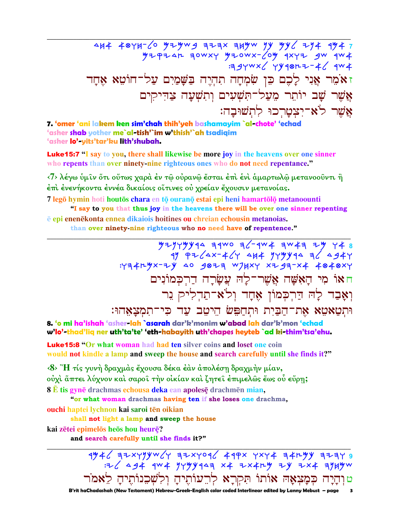### 7. 'omer 'ani lakem ken sim'chah thih'yeh bashamayim `al-chote' 'echad 'asher shab yother me`al-tish'`im w'thish'`ah tsadigim 'asher lo'-yits'tar'ku lith'shubah.

**Luke15:7** "I say to you, there shall likewise be more joy in the heavens over one sinner who repents than over ninety-nine righteous ones who do not need repentance."

<7> λέγω ύμιν ότι ούτως χαρά έν τω ούρανω έσται έπι ενι άμαρτωλω μετανοούντι ή έπι ένενήκοντα έννέα δικαίοις οΐτινες οὐ γρείαν ἔγουσιν μετανοίας.

7 legō hymin hoti houtōs chara en tō ouranō estai epi heni hamartōlō metanoounti "I say to you that thus joy in the heavens there will be over one sinner repenting

e epi enenekonta ennea dikaiois hoitines ou chreian echousin metanoias.

than over ninety-nine righteous who no need have of repentence."

 $7777779944 9900967904 904947777748$ חאו מי האָשָׁה אֱשֵׁר־לַה עֲשַׂרַה דַרִכְּמוֹנִים וְאָבַד לָה דַרִכְמוֹן אֵחָד וְלֹא־תַדְלִיק נֵר וּתְטַאטֵא אֶת־הַבַּיִת וּתִחַפִּשׂ הֵיטֵב עַד כִּי־תִמְצָאֵהוּ:

8. 'o mi ha'ishah 'asher-lah `asarah dar'k'monim w'abad lah dar'k'mon 'echad w'lo'-thad'liq ner uth'ta'te' 'eth-habayith uth'chapes heyteb `ad ki-thim'tsa'ehu.

**Luke15:8 "Or what woman had had ten silver coins and loset one coin** would not kindle a lamp and sweep the house and search carefully until she finds it?"

<8> "Η τίς γυνή δραχμάς έχουσα δέκα έαν άπολέση δραχμήν μίαν, ούχι άπτει λύχνον και σαροί την οικίαν και ζητεί επιμελώς έως ου εύρη; 8 E tis gynē drachmas echousa deka ean apolesē drachmēn mian,

"or what woman drachmas having ten if she loses one drachma,

ouchi haptei lychnon kai saroi tēn oikian

shall not light a lamp and sweep the house

kai zētei epimelos heos hou heure?

and search carefully until she finds it?"

 $4%42$   $7744$   $444$   $444$   $444$   $444$   $444$   $444$   $444$   $444$   $444$   $444$   $444$   $444$   $444$   $444$   $444$   $444$   $444$   $444$   $444$   $444$   $444$   $444$   $444$   $444$   $444$   $444$   $444$   $444$   $444$   $444$   $444$   $444$   $444$   $444$   $44$ טוְהָיָה כְּמָצְאָהּ אוֹתוֹ תִּקְרָא לְרֵעוֹתֵיהַ וִלְשָׁבִנוֹתֵיהַ לֵאמֹר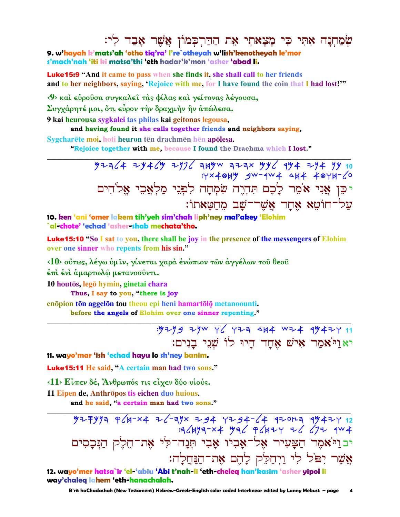# שִׂמַחִנָּה אָתִּי כִּי מַצָאתִי אֶת הַדַּרִכְמוֹן אֲשֶׁר אָבַד לְי:

9. w'hayah k'mats'ah 'otho tig'ra' l're`otheyah w'lish'kenotheyah le'mor s'mach'nah 'iti ki matsa'thi 'eth hadar'k'mon 'asher 'abad li.

**Luke15:9** "And it came to pass when she finds it, she shall call to her friends and to her neighbors, saying, 'Rejoice with me, for I have found the coin that I had lost!'"

< 9> και εύρουσα συγκαλεί τας φίλας και γείτονας λέγουσα,

Συγχάρητέ μοι, ότι εύρον την δραχμήν ην απώλεσα.

9 kai heurousa sygkalei tas philas kai geitonas legousa,

and having found it she calls together friends and neighbors saying,

Sygcharete moi, hoti heuron ten drachmen hen apolesa.

"Rejoice together with me, because I found the Drachma which I lost."

 $4924$   $474$   $494$   $497$   $497$   $494$   $474$   $494$   $494$   $494$   $40$ : YX40HY SW-4W4 4H4 40YH-6 יכֵן אֲנִי אֹמֵר לָכֶם תִּהְיֶה שִׂמְחָה לִפְנֵי מַלְאֲכֵי אֵלֹהִים על־חוֹטֵא אֶחַד אֱשֵׁר־שַׁב מֶחֲטַאתוֹ: 10. ken 'ani 'omer lakem tih'yeh sim'chah liph'ney mal'akey 'Elohim

`al-chote' 'echad 'asher-shab mechata'tho.

**Luke15:10** "So I sat to you, there shall be joy in the presence of the messengers of Elohim over one sinner who repents from his sin."

<10> ούτως, λέγω ύμιν, γίνεται χαρά ένώπιον των άγγέλων του θεου

έπι ένι άμαρτωλώ μετανοούντι.

10 houtōs, legō hymin, ginetai chara

Thus, I say to you, "there is joy

enōpion tōn aggelōn tou theou epi heni hamartōlō metanoounti.

before the angels of Elohim over one sinner repenting."

: 9299 29W Y Y YZA 444 WZ4 4942Y 11 יאַרַיֹאמַר אָישׁ אָחַד הַיוּ לוֹ שָׁנֵי בַנִים:

11. wayo'mar 'ish 'echad hayu lo sh'ney banim.

Luke15:11 He said, "A certain man had two sons."

 $\langle 11 \rangle$  Είπεν δέ, Άνθρωπός τις είχεν δύο υίούς.

11 Eipen de, Anthrōpos tis eichen duo huious.

and he said, "a certain man had two sons."

 $777797$   $9(4-x4)$   $2(1-x4)$   $3x - 34$   $7x - 34$   $7x - 34$   $7x - 34$   $7x - 34$   $7x - 34$   $7x - 34$   $7x - 34$   $7x - 34$   $7x - 34$   $7x - 34$   $7x - 34$   $7x - 34$   $7x - 34$   $7x - 34$   $7x - 34$   $7x - 34$   $7x - 34$   $7x - 34$   $7x - 34$   $7x - 34$   $7x -$  $4477-x4$   $476$   $4677$   $46$   $477$   $404$ יבויֹאמֶר הַצָּעִיר אֶל־אַבִיו אַבִי תְּנַה־לִי אָת־הֵלֵק הַנִּכְסִים אֲשֶׁר יִפֹּל לִי וַיִּחַלֵּק לָהֶם אֶת־הַנַּחֲלָה:

12. wayo'mer hatsa`ir 'el-'abiu 'Abi t'nah-li 'eth-cheleg han'kasim 'asher yipol li way'chaleg lahem 'eth-hanachalah.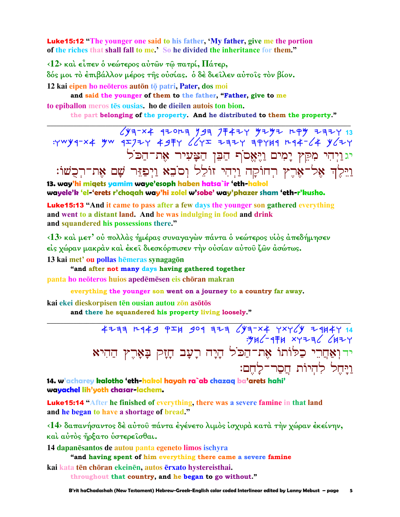**Luke15:12** "The younger one said to his father, 'My father, give me the portion of the riches that shall fall to me.' So he divided the inheritance for them."

 $\langle 12 \rangle$  και είπεν ο νεώτερος αυτών τω πατρί, Πάτερ, δός μοι τὸ ἐπιβάλλον μέρος της οὐσίας. ὁ δέ διείλεν αὐτοίς τὸν βίον. 12 kai eipen ho neōteros autōn tō patri, Pater, dos moi

and said the younger of them to the father, "Father, give to me to epiballon meros tes ousias. ho de dieilen autois ton bion.

the part belonging of the property. And he distributed to them the property."

יגוַיְהִי מִקֵּץ יָמִים וַיֶּאֱסֹף הַבֵּן הַצָּעִיר אֶת־הַכֹּל וַיֵּלֵדְ אֵל־אָרֵץ רְחוֹקַה וַיִּהִי זוֹלֵל וְסֹבָא וַיִפְזֶּר שַׁם אָת־רְכָשׁוֹ:

13. way'hi migets yamim waye'esoph haben hatsa`ir 'eth-hakol wayele'k 'el-'erets r'choqah way'hi zolel w'sobe' way'phazer sham 'eth-r'kusho.

**Luke15:13 "And it came to pass after a few days the younger son gathered everything** and went to a distant land. And he was indulging in food and drink and squandered his possessions there."

 $(13)$  και μετ' ου πολλάς ήμέρας συναγαγών πάντα ο νεώτερος υιος απεδήμησεν είς γώραν μακράν και έκει διεσκόρπισεν την ουσίαν αυτου ζών ασώτως.

13 kai met' ou pollas hēmeras synagagōn

"and after not many days having gathered together panta ho neōteros huios apedēmēsen eis chōran makran

everything the younger son went on a journey to a country far away.

kai ekei dieskorpisen tēn ousian autou zōn asōtōs

and there he squandered his property living loosely."

4233 1449 954 909 323 4324 4x44 7x44 24447 14  $.946 - 974$  xyza  $6642$ ידוְאַחֲרֵי כַלּוֹתוֹ אֶת־הַכֹּל הָיָה רָעָב חָזָק בָּאָרֶץ הַהִיא ויחל להיות חסר־לחם:

14. w'acharey kalotho 'eth-hakol hayah ra`ab chazaq ba'arets hahi' wayachel lih'yoth chasar-lachem.

**Luke15:14 "After he finished of everything, there was a severe famine in that land** and he began to have a shortage of bread."

<14> δαπανήσαντος δέ αύτου πάντα έγένετο λιμός ισχυρά κατά την χώραν εκείνην, και αύτος ήρξατο υστερεισθαι.

14 dapanesantos de autou panta egeneto limos ischyra

"and having spent of him everything there came a severe famine

kai kata tēn chōran ekeinēn, autos ērxato hystereisthai.

throughout that country, and he began to go without."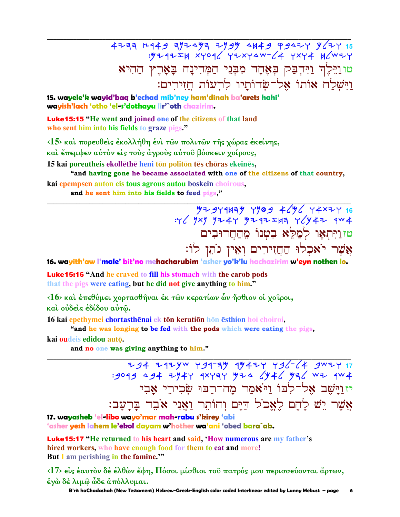4233 7449 79449 4944 1944 7944 1544<br>4744 744 744 744 744 7444 744 טוּוַלִּדְ וַיִּרְבַק בְאָחָד מִבְּנֵי הַמְּדִינָה בָּאָרֵץ הַהִיא <u>וַיִּשְׁלַח אוֹתוֹ אֱל־שִׂדוֹתַיו לְרְעוֹת חֲזִירִים:</u>

15. wayele'k wayid'baq b'echad mib'ney ham'dinah ba'arets hahi' wayish'lach 'otho 'el-s'dothayu lir'`oth chazirim.

**Luke15:15** "He went and joined one of the citizens of that land who sent him into his fields to graze pigs."

 $\langle 15 \rangle$  και πορευθείς έκολλήθη ένι των πολιτών της γώρας έκείνης.

και έπεμψεν αύτον είς τους άγρους αύτου βόσκειν χοίρους,

15 kai poreutheis ekollēthē heni tōn politōn tēs chōras ekeinēs,

"and having gone he became associated with one of the citizens of that country, kai epempsen auton eis tous agrous autou boskein choirous,

and he sent him into his fields to feed pigs,"

# טזויתאו למלא בטנו מהחרובים אֲשֶׁר יֹאכִלוּ הַחֲזִירִים וְאֵין נוֹתֵן לוֹ:

16. wayith'aw l'male' bit'no mehacharubim 'asher yo'k'lu hachazirim w'eyn nothen lo.

**Luke 15:16** "And he craved to fill his stomach with the carob pods that the pigs were eating, but he did not give anything to him."

<16> και έπεθύμει χορτασθήναι έκ των κερατίων ών ήσθιον οι χοίροι, και ούδεις έδίδου αύτώ.

16 kai epethymei chortasthēnai ek tōn keratiōn hōn esthion hoi choiroi.

"and he was longing to be fed with the pods which were eating the pigs.

kai oudeis edidou autō.

and no one was giving anything to him."

294 2124w 491-24 14424 496-64 3W24 17 :9049 494 7944 9X474 974 6446 976 WZ 9W4 יזוַיַּשָׁב אֱל־לְבּוֹ וַיֹּאמַר מַה־רַבּוּ שִׂכְירֵי אָבִי אשר יש להם לאכל דים והותר ואני אבד ברעב:

17. wayasheb 'el-libo wayo'mar mah-rabu s'kirey 'abi 'asher yesh lahem le'ekol dayam w'hother wa'ani 'obed bara`ab.

**Luke15:17** "He returned to his heart and said, 'How numerous are my father's hired workers, who have enough food for them to eat and more! But I am perishing in the famine."

<17> είς έαυτον δε έλθων έφη, Πόσοι μίσθιοι του πατρός μου περισσεύονται άρτων, έγὼ δέ λιμῶ ὧδε ἀπόλλυμαι.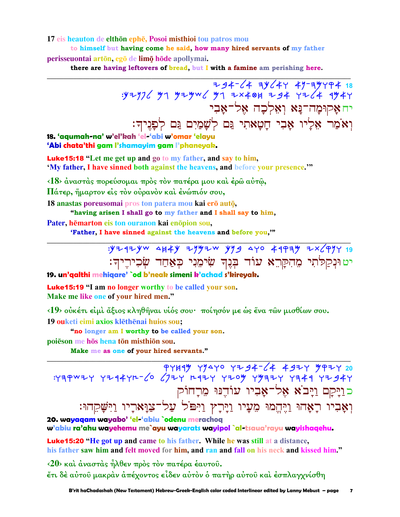### 17 eis heauton de elthōn ephē, Posoi misthioi tou patros mou

to himself but having come he said, how many hired servants of my father perisseuontai artōn, egō de limō hōde apollymai.

there are having leftovers of bread, but I with a famine am perishing here.

יחאַקוּמַה־נַּא וְאָלִכָה אָל־אַבִי וְאֹמַר אֵלְיו אָבִי חָטָאתִי גַּם לְשָׁמַיִם גַּם לְפָגִיךָ:

 $794-64$  34-64 47-347474 18<br>34 34 34 344 494 34 34 34 34 34 34 34 34 34 34 34 34

18. 'agumah-na' w'el'kah 'el-'abi w'omar 'elayu 'Abi chata'thi gam l'shamayim gam l'phaneyak.

**Luke15:18** "Let me get up and go to my father, and say to him, 'My father, I have sinned both against the heavens, and before your presence."

<18> άναστάς πορεύσομαι πρός τον πατέρα μου και έρω αύτω,

Πάτερ, ήμαρτον είς τον ούρανον και ένώπιόν σου,

18 anastas poreusomai pros ton patera mou kai erō autō,

"having arisen I shall go to my father and I shall say to him,

Pater, hēmarton eis ton ouranon kai enōpion sou,

'Father, I have sinned against the heavens and before you,""

: YZ4ZYW AH4Y ZYYZW YYS AYO 44PAY ZX (PYY 19 יט וּנִקַלֹּתִי מֵהִקַּרֵא עוֹד בְּנֵךְ שִׂימֵנִי כְּאַחַד שְׂכִירֶיךְ:

19. un'qalthi mehigare' `od b'neak simeni k'achad s'kireyak.

**Luke 15:19 "I am no longer worthy to be called your son.** Make me like one of your hired men."

<19> ούκέτι είμι άξιος κληθήναι υίός σου· ποίησόν με ως ένα των μισθίων σου.

19 ouketi eimi axios klēthēnai huios sou;

"no longer am I worthy to be called your son.

poiēson me hōs hena tōn misthiōn sou.

Make me as one of your hired servants."

כּוַיָּקָם וַיָּבֹא אָל־אָבִיו עוֹדֵנּוּ מִרְחוֹק וְאָבִיו רְאָהוּ וַיֶּהֱמוּ מֵעָיו וַיָּרְץ וַיִּפֹּל עַל־צַוָּארָיו וַיִּשָּׁקֵהוּ:

20. wayaqam wayabo' 'el-'abiu `odenu merachoq w'abiu ra'ahu wayehemu me`ayu wayarats wayipol `al-tsaua'rayu wayishaqehu.

**Luke15:20 "He got up and came to his father. While he was still at a distance,** his father saw him and felt moved for him, and ran and fall on his neck and kissed him."

<20> και άναστας ήλθεν προς τον πατέρα έαυτου. έτι δέ αύτοῦ μακράν ἀπέχοντος εἶδεν αὐτὸν ὁ πατὴρ αὐτοῦ καὶ ἐσπλαγχνίσθη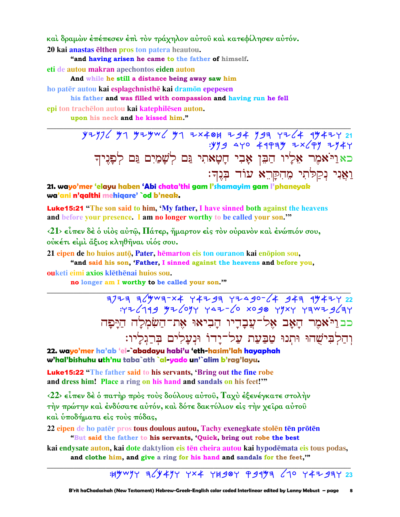καὶ δραμὼν ἐπέπεσεν ἐπὶ τὸν τράχηλον αὐτοῦ καὶ κατεφίλησεν αὐτόν.

20 kai anastas elthen pros ton patera heautou.

"and having arisen he came to the father of himself.

eti de autou makran apechontos eiden auton

And while he still a distance being away saw him

ho patër autou kai esplagchnisthe kai dramon epepesen

### his father and was filled with compassion and having run he fell

epi ton trachēlon autou kai katephilēsen auton.

upon his neck and he kissed him."

yzy76 yn yzyw6 yn zx40h zg4 yga rz64 ay4zr 21<br>yyg aro 4apay zx6py zy4r; כאַוַיֹּאמֶר אֶלְיוֹ הַבֵּן אָבִי חָטָאתִי גַּם לְשָׁמַיִם גַּם לְפָנִיךָ וַאֲנִי נִקַלֹּתִי מֵהִקַּרֵא עוֹד בְּנֵדְ:

21. wayo'mer 'elayu haben 'Abi chata'thi gam l'shamayim gam l'phaneyak wa'ani n'galthi mehigare' `od b'neak.

**Luke15:21** "The son said to him, 'My father, I have sinned both against the heavens and before your presence. I am no longer worthy to be called your son."

 $\langle 21 \rangle$  είπεν δέ ο υίος αύτ $\hat{\omega}$ , Πάτερ, ήμαρτον είς τον ούρανον και ένώπιον σου, ούκέτι είμι άξιος κληθήναι υίός σου.

21 eipen de ho huios autō, Pater, hēmarton eis ton ouranon kai enōpion sou,

"and said his son, 'Father, I sinned against the heavens and before you, ouketi eimi axios klēthēnai huios sou.

no longer am I worthy to be called your son."

 $7777$  744 74790 748 7490-64 7490-64 7491 7492<br>479 7444 7497 9400 06-447 7996 749 74961 כבוי אמר האָב אֶל־עֲבָדֵיו הַבִיאוּ אֵת־הַשִּׂמְלַה הַיַּפַּה וִהַלְבִּישָׁהוּ וּתִנוּ טַבַּעַת עַל־יָדוֹ וּנִעָלִים בִּרְגִלְיו:

22. wayo'mer ha'ab 'el-`abadayu habi'u 'eth-hasim'lah hayaphah w'hal'bishuhu uth'nu taba`ath `al-yado un'`alim b'rag'layu.

**Luke15:22** "The father said to his servants, 'Bring out the fine robe and dress him! Place a ring on his hand and sandals on his feet!"

 $\langle 22 \rangle$  είπεν δέ ο πατήρ προς τους δούλους αύτου, Ταχυ έξενέγκατε στολήν την πρώτην και ένδύσατε αυτόν, και δότε δακτύλιον είς την χείρα αυτου και υποδήματα είς τους πόδας.

22 eipen de ho pater pros tous doulous autou, Tachy exenegkate stolen ten proten "But said the father to his servants, 'Quick, bring out robe the best

kai endysate auton, kai dote daktylion eis tēn cheira autou kai hypodēmata eis tous podas, and clothe him, and give a ring for his hand and sandals for the feet,"

: HYWYY 36Y4YY YX4 YH90Y P9173 670 Y4793Y 23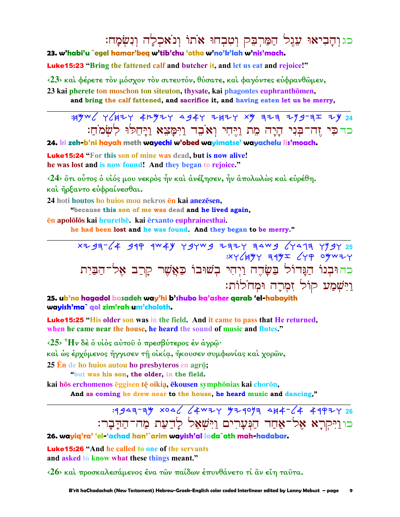כגוהביאוּ עֶגֶל הַמַּרְבֶק וְטִבְחוּ אֹתוֹ וְנֹאַכְלַה וְנִשְׂמַח:

23. w'habi'u `egel hamar'beg w'tib'chu 'otho w'no'k'lah w'nis'mach.

**Luke15:23** "Bring the fattened calf and butcher it, and let us eat and rejoice!"

<23> και φέρετε τον μόσχον τον σιτευτόν, θύσατε, και φαγόντες ευφρανθώμεν,

23 kai pherete ton moschon ton siteuton, thysate, kai phagontes euphranthomen,

and bring the calf fattened, and sacrifice it, and having eaten let us be merry,

 $44\%$   $\frac{1}{4}$   $\frac{1}{4}$   $\frac{1}{4}$   $\frac{1}{4}$   $\frac{1}{4}$   $\frac{1}{4}$   $\frac{1}{4}$   $\frac{1}{4}$   $\frac{1}{4}$   $\frac{1}{4}$   $\frac{1}{4}$   $\frac{1}{4}$   $\frac{1}{4}$   $\frac{1}{4}$   $\frac{1}{4}$   $\frac{1}{4}$   $\frac{1}{4}$   $\frac{1}{4}$   $\frac{1}{4}$   $\frac{1}{4}$   $\frac{1}{4}$   $\frac{$ כדכי זה־בִּנִי הָיָה מֵת וַיֵּחִי וְאֹבֵד וַיִּמַצֵא וַיַּחֵלוּ לְשָׂמֹחַ:

24. ki zeh-b'ni hayah meth wayechi w'obed wayimatse' wayachelu lis'moach.

**Luke 15:24** "For this son of mine was dead, but is now alive! he was lost and is now found! And they began to rejoice."

 $\langle 24 \rangle$  ότι ούτος ο υίός μου νεκρος ήν και ανέζησεν, ήν απολωλως και ευρέθη. και ήρξαντο ευφραίνεσθαι.

24 hoti houtos ho huios mou nekros en kai anezesen,

"because this son of me was dead and he lived again.

en apololos kai heurethe. kai erxanto euphrainesthai.

he had been lost and he was found. And they began to be merry."

xzga-64 gap aw +y ygywg zazy aawg 6441a yygy 25  $XY$   $\angle$   $AYY$   $\equiv 14$   $Y = 2$   $Y + 9$   $O$   $W + Y$ כהוּבְנוֹ הַגֲדוֹל בַּשָּׂדֶה וַיְהִי בְשׁוּבוֹ כַּאֲשֶׁר קָרַב אֶל־הַבַּיִת וַיִּשְׁמַע קוֹל זִמְרַה וּמְחֹלוֹת:

25. ub'no hagadol basadeh way'hi b'shubo ka'asher qarab 'el-habayith wayish'ma` gol zim'rah um'choloth.

**Luke15:25 "His older son was in the field. And it came to pass that He returned,** when he came near the house, he heard the sound of music and flutes."

 $\langle 25 \rangle$ <sup>3</sup>Hν δέ δ υίδς αύτου δ πρεσβύτερος έν άγρω· καὶ ὡς ἐρχόμενος ἤγγισεν τῆ οἰκία, ἤκουσεν συμφωνίας καὶ χορῶν, 25  $\overline{E}$ n de ho huios autou ho presbyteros en agrō;

"but was his son, the older, in the field.

kai hōs erchomenos ēggisen tē oikia, ēkousen symphōnias kai chorōn,

And as coming he drew near to the house, he heard music and dancing,"

## :4943-34 x04 (4W7Y 474093 4K4- (4 4997Y 26 כוויקרא אל־אחד הנערים וישאל לדעת מה־הדבר:

26. wavia'ra' 'el-'achad han'`arim wavish'al lada`ath mah-hadabar.

**Luke15:26 "And he called to one of the servants** and asked to know what these things meant."

<26> και προσκαλεσάμενος ένα των παίδων επυνθάνετο τι αν είη ταυτα.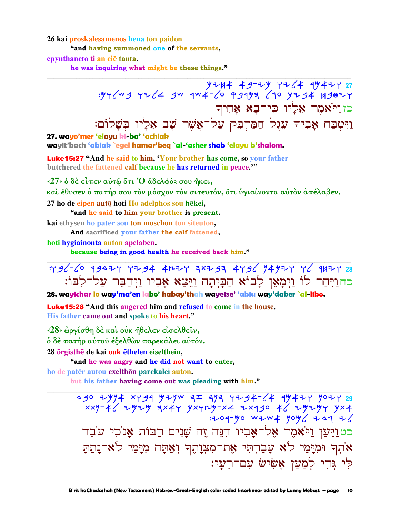26 kai proskalesamenos hena tōn paidōn

"and having summoned one of the servants.

epynthaneto ti an eie tauta.

he was inquiring what might be these things."

כזויאמר אַלֵיו כִּי־בָא אַחִיך וַיִּטְבַח אָבִיךְ עֵגָל הַמַּרְבִּק עַל־אֲשֶׁר שָׁב אֵלַיו בִּשַׁלוֹם: 27. wayo'mer 'elayu ki-ba' 'achiak

wayit'bach 'abiak `egel hamar'beq `al-'asher shab 'elayu b'shalom.

**Luke15:27** "And he said to him, 'Your brother has come, so your father butchered the fattened calf because he has returned in peace."

 $\langle 27 \rangle$  δ δέ είπεν αύτ $\hat{\omega}$  ὅτι Ό άδελφός σου ήκει,

καὶ ἔθυσεν ὁ πατήρ σου τὸν μόσχον τὸν σιτευτόν, ὅτι ὑγιαίνοντα αὐτὸν ἀπέλαβεν. 27 ho de eipen autō hoti Ho adelphos sou hēkei,

"and he said to him your brother is present.

kai ethysen ho pater sou ton moschon ton siteuton,

And sacrificed your father the calf fattened,

hoti hygiainonta auton apelaben.

because being in good health he received back him."

:436-60 93424 4234 4224 7x239 4736 74924 76 9H2Y 28 כחוַיִּחַר לוֹ וַיִּמָאָן לַבוֹא הַבַּיִתַה וַיֵּצֵא אָבְיו וַיִדַבֵּר עַל־לְבּוֹ:

28. wayichar lo way'ma'en labo' habay'thah wayetse' 'abiu way'daber `al-libo.

**Luke 15:28** "And this angered him and refused to come in the house. His father came out and spoke to his heart."

<28> ώργίσθη δέ και ούκ ήθελεν είσελθεΐν,

ό δέ πατήρ αύτου έξελθών παρεκάλει αύτόν.

28 örgisthe de kai ouk ethelen eiselthein,

"and he was angry and he did not want to enter,

ho de patēr autou exelthon parekalei auton.

but his father having come out was pleading with him."

490 ZYY4 XY91 YZYW 7 Z79 YZ94-64 1942Y YOZY 29  $xxy - 46$  zyzy  $\exists x 4y$  yxyry-x4 zx490 46 zyzy yx4 : 204-40 WZWX 404/721 2/ כטוַיַּעַן וַיֹּאמֶר אֶל־אָבִיו הִגֵּה זֵה שַׁנִים רַבּוֹת אַנֹכִי עֹבֵד אֹתְךְ וּמִיָּמַי לֹא עָבַרְתִּי אֶת־מִצְוָתֶךְ וְאַתָּה מִיָּמַי לֹא־נָתַתָּ לִי גִּדִי לְמַעַן אָשִׂישׂ עִם־רֵעַי: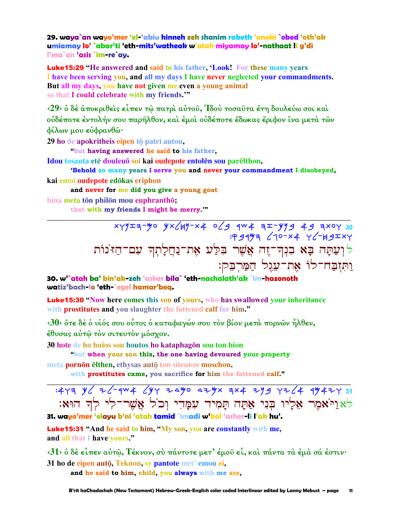29. waya`an wayo'mer 'el-'abiu hinneh zeh shanim raboth 'anoki `obed 'oth'ak umiamay lo' `abar'ti 'eth-mits'watheak w'atah miyamay lo'-nathaat li g'di l'ma`an 'asis `im-re`av.

**Luke15:29 "He answered and said to his father, 'Look! For these many years** I have been serving you, and all my days I have never neglected your commandments. But all my days, you have not given me even a young animal so that I could celebrate with my friends."

 $(29)$  ο δέ αποκριθείς είπεν τω πατρί αύτου, Ιδού τοσαυτα έτη δουλεύω σοι καί ούδέποτε έντολήν σου παρήλθον, και έμοι ουδέποτε έδωκας έριφον ίνα μετά τῶν φίλων μου ευφρανθώ·

29 ho de apokritheis eipen tō patri autou,

"but having answered he said to his father,

Idou tosauta ete douleuo soi kai oudepote entolen sou parelthon,

'Behold so many years I serve you and never your commandment I disobeyed, kai emoi oudepote edōkas eriphon

and never for me did you give a young goat

hina meta tōn philōn mou euphranthō:

that with my friends I might be merry.""

 $x+yz=7$  of  $x=y=7$  and  $x=y=7$  and  $x=y=7$  and  $x=y=7$  and  $x=y=7$ לוְעַתָּה בָא בִנְךְ־זֶה אֲשֶׁר בִּלֵּע אֶת־נַחֲלָתִךְ עִם־הַזּנוֹת ותזבח־לו את־עגל המרבק:

30. w'`atah ba' bin'ak-zeh 'asher bila` 'eth-nachalath'ak `im-hazonoth watiz'bach-lo 'eth-`egel hamar'beg.

**Luke15:30** "Now here comes this son of yours, who has swallowed your inheritance with prostitutes and you slaughter the fattened calf for him."

 $\langle 30 \rangle$  ότε δέ ο υίός σου ούτος ο καταφαγών σου τον βίον μετά πορνών ήλθεν, έθυσας αύτώ τον σιτευτον μόσχον.

30 hote de ho huios sou houtos ho kataphagōn sou ton bion

"but when your son this, the one having devoured your property

meta pornon elthen, ethysas auto ton site ton moschon. with prostitutes came, you sacrifice for him the fattened calf."

לאַוַיֹּאמֶר אָלֵיו בִּנִי אַתַּה תַּמִיד עִמַּדִי וְכֹל אֲשֶׁר־לִי לִדְ הוּאָ:

31. wayo'mer 'elayu b'ni 'atah tamid `imadi w'kol 'asher-li l'ak hu'.

**Luke15:31** "And he said to him, "My son, you are constantly with me, and all that I have yours."

 $\langle 31 \rangle$  δ δέ είπεν αύτ $\hat{\omega}$ , Τέκνον, σύ πάντοτε μετ' έμου εί, και πάντα τα έμα σά έστιν·

31 ho de eipen autō, Teknon, sy pantote met' emou ei, and he said to him, child, you always with me are,